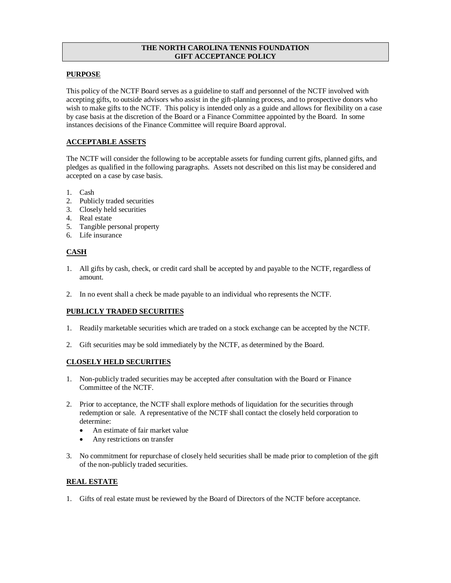### **THE NORTH CAROLINA TENNIS FOUNDATION GIFT ACCEPTANCE POLICY**

### **PURPOSE**

This policy of the NCTF Board serves as a guideline to staff and personnel of the NCTF involved with accepting gifts, to outside advisors who assist in the gift-planning process, and to prospective donors who wish to make gifts to the NCTF. This policy is intended only as a guide and allows for flexibility on a case by case basis at the discretion of the Board or a Finance Committee appointed by the Board. In some instances decisions of the Finance Committee will require Board approval.

### **ACCEPTABLE ASSETS**

The NCTF will consider the following to be acceptable assets for funding current gifts, planned gifts, and pledges as qualified in the following paragraphs. Assets not described on this list may be considered and accepted on a case by case basis.

- 1. Cash
- 2. Publicly traded securities
- 3. Closely held securities
- 4. Real estate
- 5. Tangible personal property
- 6. Life insurance

# **CASH**

- 1. All gifts by cash, check, or credit card shall be accepted by and payable to the NCTF, regardless of amount.
- 2. In no event shall a check be made payable to an individual who represents the NCTF.

# **PUBLICLY TRADED SECURITIES**

- 1. Readily marketable securities which are traded on a stock exchange can be accepted by the NCTF.
- 2. Gift securities may be sold immediately by the NCTF, as determined by the Board.

# **CLOSELY HELD SECURITIES**

- 1. Non-publicly traded securities may be accepted after consultation with the Board or Finance Committee of the NCTF.
- 2. Prior to acceptance, the NCTF shall explore methods of liquidation for the securities through redemption or sale. A representative of the NCTF shall contact the closely held corporation to determine:
	- An estimate of fair market value
	- Any restrictions on transfer
- 3. No commitment for repurchase of closely held securities shall be made prior to completion of the gift of the non-publicly traded securities.

# **REAL ESTATE**

1. Gifts of real estate must be reviewed by the Board of Directors of the NCTF before acceptance.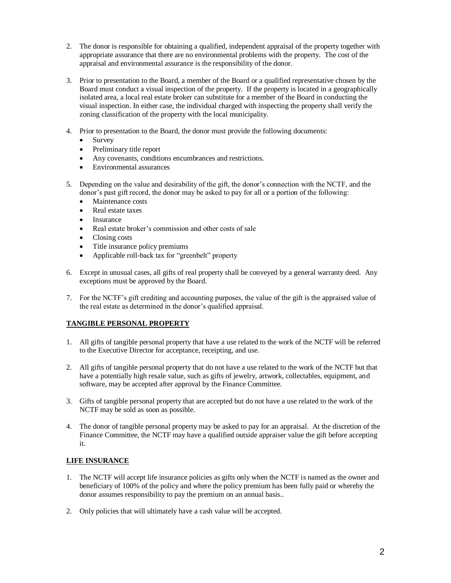- 2. The donor is responsible for obtaining a qualified, independent appraisal of the property together with appropriate assurance that there are no environmental problems with the property. The cost of the appraisal and environmental assurance is the responsibility of the donor.
- 3. Prior to presentation to the Board, a member of the Board or a qualified representative chosen by the Board must conduct a visual inspection of the property. If the property is located in a geographically isolated area, a local real estate broker can substitute for a member of the Board in conducting the visual inspection. In either case, the individual charged with inspecting the property shall verify the zoning classification of the property with the local municipality.
- 4. Prior to presentation to the Board, the donor must provide the following documents:
	- Survey
	- Preliminary title report
	- Any covenants, conditions encumbrances and restrictions.
	- Environmental assurances
- 5. Depending on the value and desirability of the gift, the donor's connection with the NCTF, and the donor's past gift record, the donor may be asked to pay for all or a portion of the following:
	- Maintenance costs
	- Real estate taxes
	- Insurance
	- Real estate broker's commission and other costs of sale
	- Closing costs
	- Title insurance policy premiums
	- Applicable roll-back tax for "greenbelt" property
- 6. Except in unusual cases, all gifts of real property shall be conveyed by a general warranty deed. Any exceptions must be approved by the Board.
- 7. For the NCTF's gift crediting and accounting purposes, the value of the gift is the appraised value of the real estate as determined in the donor's qualified appraisal.

# **TANGIBLE PERSONAL PROPERTY**

- 1. All gifts of tangible personal property that have a use related to the work of the NCTF will be referred to the Executive Director for acceptance, receipting, and use.
- 2. All gifts of tangible personal property that do not have a use related to the work of the NCTF but that have a potentially high resale value, such as gifts of jewelry, artwork, collectables, equipment, and software, may be accepted after approval by the Finance Committee.
- 3. Gifts of tangible personal property that are accepted but do not have a use related to the work of the NCTF may be sold as soon as possible.
- 4. The donor of tangible personal property may be asked to pay for an appraisal. At the discretion of the Finance Committee, the NCTF may have a qualified outside appraiser value the gift before accepting it.

#### **LIFE INSURANCE**

- 1. The NCTF will accept life insurance policies as gifts only when the NCTF is named as the owner and beneficiary of 100% of the policy and where the policy premium has been fully paid or whereby the donor assumes responsibility to pay the premium on an annual basis..
- 2. Only policies that will ultimately have a cash value will be accepted.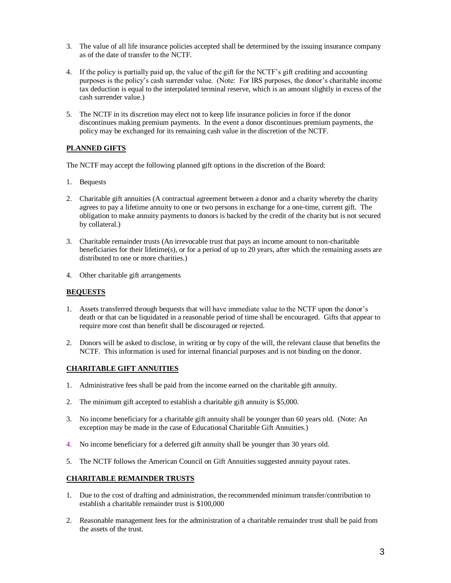- 3. The value of all life insurance policies accepted shall be determined by the issuing insurance company as of the date of transfer to the NCTF.
- 4. If the policy is partially paid up, the value of the gift for the NCTF's gift crediting and accounting purposes is the policy's cash surrender value. (Note: For IRS purposes, the donor's charitable income tax deduction is equal to the interpolated terminal reserve, which is an amount slightly in excess of the cash surrender value.)
- 5. The NCTF in its discretion may elect not to keep life insurance policies in force if the donor discontinues making premium payments. In the event a donor discontinues premium payments, the policy may be exchanged for its remaining cash value in the discretion of the NCTF.

# **PLANNED GIFTS**

The NCTF may accept the following planned gift options in the discretion of the Board:

- 1. Bequests
- 2. Charitable gift annuities (A contractual agreement between a donor and a charity whereby the charity agrees to pay a lifetime annuity to one or two persons in exchange for a one-time, current gift. The obligation to make annuity payments to donors is backed by the credit of the charity but is not secured by collateral.)
- 3. Charitable remainder trusts (An irrevocable trust that pays an income amount to non-charitable beneficiaries for their lifetime(s), or for a period of up to 20 years, after which the remaining assets are distributed to one or more charities.)
- 4. Other charitable gift arrangements

#### **BEQUESTS**

- 1. Assets transferred through bequests that will have immediate value to the NCTF upon the donor's death or that can be liquidated in a reasonable period of time shall be encouraged. Gifts that appear to require more cost than benefit shall be discouraged or rejected.
- 2. Donors will be asked to disclose, in writing or by copy of the will, the relevant clause that benefits the NCTF. This information is used for internal financial purposes and is not binding on the donor.

# **CHARITABLE GIFT ANNUITIES**

- 1. Administrative fees shall be paid from the income earned on the charitable gift annuity.
- 2. The minimum gift accepted to establish a charitable gift annuity is \$5,000.
- 3. No income beneficiary for a charitable gift annuity shall be younger than 60 years old. (Note: An exception may be made in the case of Educational Charitable Gift Annuities.)
- 4. No income beneficiary for a deferred gift annuity shall be younger than 30 years old.
- 5. The NCTF follows the American Council on Gift Annuities suggested annuity payout rates.

#### **CHARITABLE REMAINDER TRUSTS**

- 1. Due to the cost of drafting and administration, the recommended minimum transfer/contribution to establish a charitable remainder trust is \$100,000
- 2. Reasonable management fees for the administration of a charitable remainder trust shall be paid from the assets of the trust.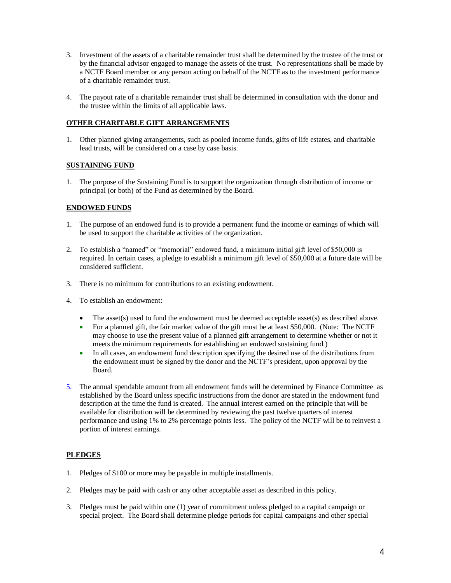- 3. Investment of the assets of a charitable remainder trust shall be determined by the trustee of the trust or by the financial advisor engaged to manage the assets of the trust. No representations shall be made by a NCTF Board member or any person acting on behalf of the NCTF as to the investment performance of a charitable remainder trust.
- 4. The payout rate of a charitable remainder trust shall be determined in consultation with the donor and the trustee within the limits of all applicable laws.

### **OTHER CHARITABLE GIFT ARRANGEMENTS**

1. Other planned giving arrangements, such as pooled income funds, gifts of life estates, and charitable lead trusts, will be considered on a case by case basis.

### **SUSTAINING FUND**

1. The purpose of the Sustaining Fund is to support the organization through distribution of income or principal (or both) of the Fund as determined by the Board.

### **ENDOWED FUNDS**

- 1. The purpose of an endowed fund is to provide a permanent fund the income or earnings of which will be used to support the charitable activities of the organization.
- 2. To establish a "named" or "memorial" endowed fund, a minimum initial gift level of \$50,000 is required. In certain cases, a pledge to establish a minimum gift level of \$50,000 at a future date will be considered sufficient.
- 3. There is no minimum for contributions to an existing endowment.
- 4. To establish an endowment:
	- The asset(s) used to fund the endowment must be deemed acceptable asset(s) as described above.
	- For a planned gift, the fair market value of the gift must be at least \$50,000. (Note: The NCTF may choose to use the present value of a planned gift arrangement to determine whether or not it meets the minimum requirements for establishing an endowed sustaining fund.)
	- In all cases, an endowment fund description specifying the desired use of the distributions from the endowment must be signed by the donor and the NCTF's president, upon approval by the Board.
- 5. The annual spendable amount from all endowment funds will be determined by Finance Committee as established by the Board unless specific instructions from the donor are stated in the endowment fund description at the time the fund is created. The annual interest earned on the principle that will be available for distribution will be determined by reviewing the past twelve quarters of interest performance and using 1% to 2% percentage points less. The policy of the NCTF will be to reinvest a portion of interest earnings.

#### **PLEDGES**

- 1. Pledges of \$100 or more may be payable in multiple installments.
- 2. Pledges may be paid with cash or any other acceptable asset as described in this policy.
- 3. Pledges must be paid within one (1) year of commitment unless pledged to a capital campaign or special project. The Board shall determine pledge periods for capital campaigns and other special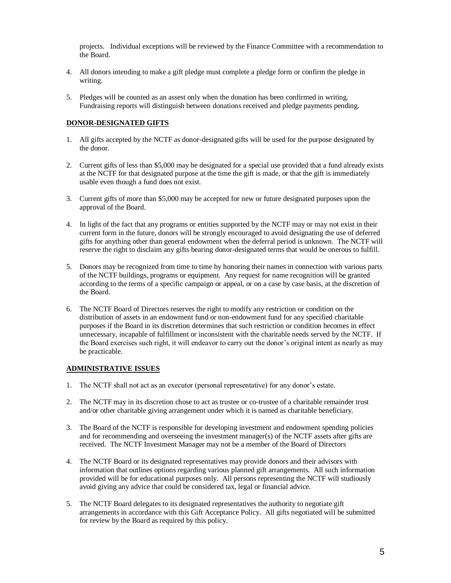projects. Individual exceptions will be reviewed by the Finance Committee with a recommendation to the Board.

- 4. All donors intending to make a gift pledge must complete a pledge form or confirm the pledge in writing.
- 5. Pledges will be counted as an assest only when the donation has been confirmed in writing. Fundraising reports will distinguish between donations received and pledge payments pending.

#### **DONOR-DESIGNATED GIFTS**

- 1. All gifts accepted by the NCTF as donor-designated gifts will be used for the purpose designated by the donor.
- 2. Current gifts of less than \$5,000 may be designated for a special use provided that a fund already exists at the NCTF for that designated purpose at the time the gift is made, or that the gift is immediately usable even though a fund does not exist.
- 3. Current gifts of more than \$5,000 may be accepted for new or future designated purposes upon the approval of the Board.
- 4. In light of the fact that any programs or entities supported by the NCTF may or may not exist in their current form in the future, donors will be strongly encouraged to avoid designating the use of deferred gifts for anything other than general endowment when the deferral period is unknown. The NCTF will reserve the right to disclaim any gifts bearing donor-designated terms that would be onerous to fulfill.
- 5. Donors may be recognized from time to time by honoring their names in connection with various parts of the NCTF buildings, programs or equipment. Any request for name recognition will be granted according to the terms of a specific campaign or appeal, or on a case by case basis, at the discretion of the Board.
- 6. The NCTF Board of Directors reserves the right to modify any restriction or condition on the distribution of assets in an endowment fund or non-endowment fund for any specified charitable purposes if the Board in its discretion determines that such restriction or condition becomes in effect unnecessary, incapable of fulfillment or inconsistent with the charitable needs served by the NCTF. If the Board exercises such right, it will endeavor to carry out the donor's original intent as nearly as may be practicable.

### **ADMINISTRATIVE ISSUES**

- 1. The NCTF shall not act as an executor (personal representative) for any donor's estate.
- 2. The NCTF may in its discretion chose to act as trustee or co-trustee of a charitable remainder trust and/or other charitable giving arrangement under which it is named as charitable beneficiary.
- 3. The Board of the NCTF is responsible for developing investment and endowment spending policies and for recommending and overseeing the investment manager(s) of the NCTF assets after gifts are received. The NCTF Investment Manager may not be a member of the Board of Directors
- 4. The NCTF Board or its designated representatives may provide donors and their advisors with information that outlines options regarding various planned gift arrangements. All such information provided will be for educational purposes only. All persons representing the NCTF will studiously avoid giving any advice that could be considered tax, legal or financial advice.
- 5. The NCTF Board delegates to its designated representatives the authority to negotiate gift arrangements in accordance with this Gift Acceptance Policy. All gifts negotiated will be submitted for review by the Board as required by this policy.